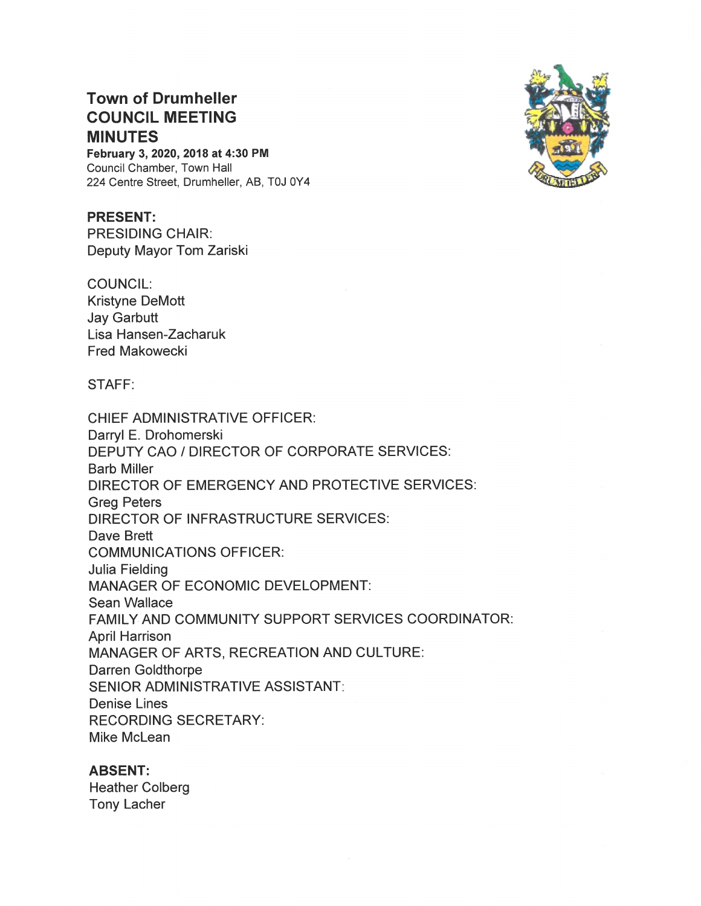# Town of Drumheller COUNCIL MEETING MINUTES

February 3, 2020, 2018 at 4:30 PM Council Chamber, Town Hall 224 Centre Street, Drumheller, AB, TOJ OY4

PRESENT: PRESIDING CHAIR: Deputy Mayor Tom Zariski

COUNCIL: Kristyne DeMott Jay Garbutt Lisa Hansen—Zacharuk Fred Makowecki

### STAFF:

CHIEF ADMINISTRATIVE OFFICER: Darryl E. Drohomerski DEPUTY CAO / DIRECTOR OF CORPORATE SERVICES: Barb Miller DIRECTOR OF EMERGENCY AND PROTECTIVE SERVICES: Greg Peters DIRECTOR OF INFRASTRUCTURE SERVICES: Dave Brett COMMUNICATIONS OFFICER: Julia Fielding MANAGER OF ECONOMIC DEVELOPMENT: Sean Wallace FAMILY AND COMMUNITY SUPPORT SERVICES COORDINATOR: April Harrison MANAGER OF ARTS, RECREATION AND CULTURE: Darren Goldthorpe SENIOR ADMINISTRATIVE ASSISTANT Denise Lines RECORDING SECRETARY: Mike McLean

### ABSENT:

Heather Colberg Tony Lacher

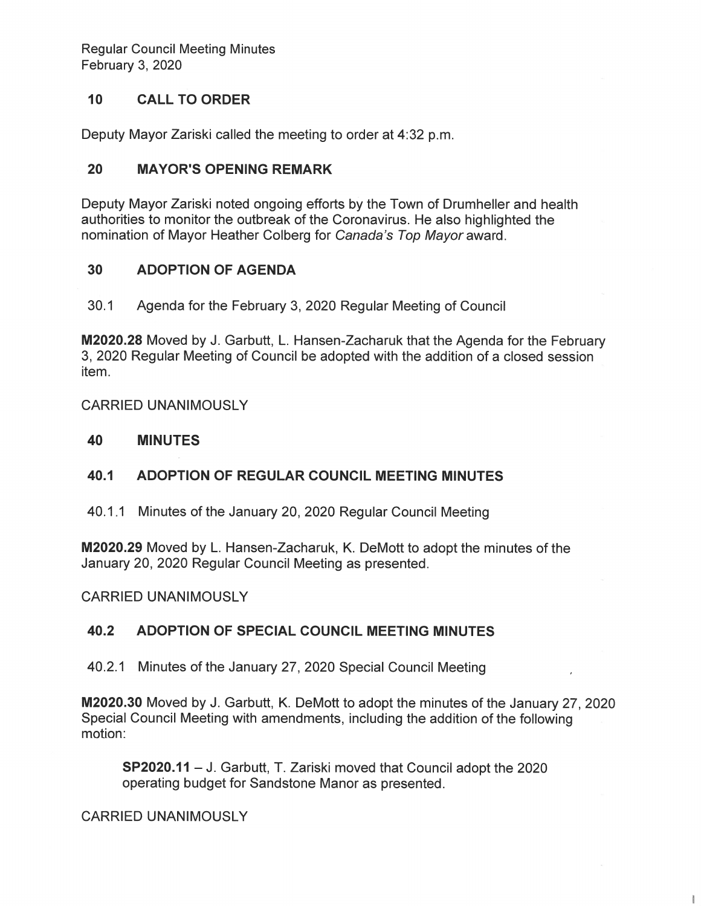**Regular Council Meeting Minutes** February 3, 2020

#### $10<sup>1</sup>$ **CALL TO ORDER**

Deputy Mayor Zariski called the meeting to order at 4:32 p.m.

#### 20 **MAYOR'S OPENING REMARK**

Deputy Mayor Zariski noted ongoing efforts by the Town of Drumheller and health authorities to monitor the outbreak of the Coronavirus. He also highlighted the nomination of Mayor Heather Colberg for Canada's Top Mayor award.

#### 30 **ADOPTION OF AGENDA**

 $30.1$ Agenda for the February 3, 2020 Regular Meeting of Council

M2020.28 Moved by J. Garbutt, L. Hansen-Zacharuk that the Agenda for the February 3, 2020 Regular Meeting of Council be adopted with the addition of a closed session item.

**CARRIED UNANIMOUSLY** 

#### 40 **MINUTES**

#### 40.1 ADOPTION OF REGULAR COUNCIL MEETING MINUTES

40.1.1 Minutes of the January 20, 2020 Regular Council Meeting

M2020.29 Moved by L. Hansen-Zacharuk, K. DeMott to adopt the minutes of the January 20, 2020 Regular Council Meeting as presented.

**CARRIED UNANIMOUSLY** 

#### 40.2 ADOPTION OF SPECIAL COUNCIL MEETING MINUTES

40.2.1 Minutes of the January 27, 2020 Special Council Meeting

M2020.30 Moved by J. Garbutt, K. DeMott to adopt the minutes of the January 27, 2020 Special Council Meeting with amendments, including the addition of the following motion:

 $\mathbf{I}$ 

SP2020.11 - J. Garbutt, T. Zariski moved that Council adopt the 2020 operating budget for Sandstone Manor as presented.

**CARRIED UNANIMOUSLY**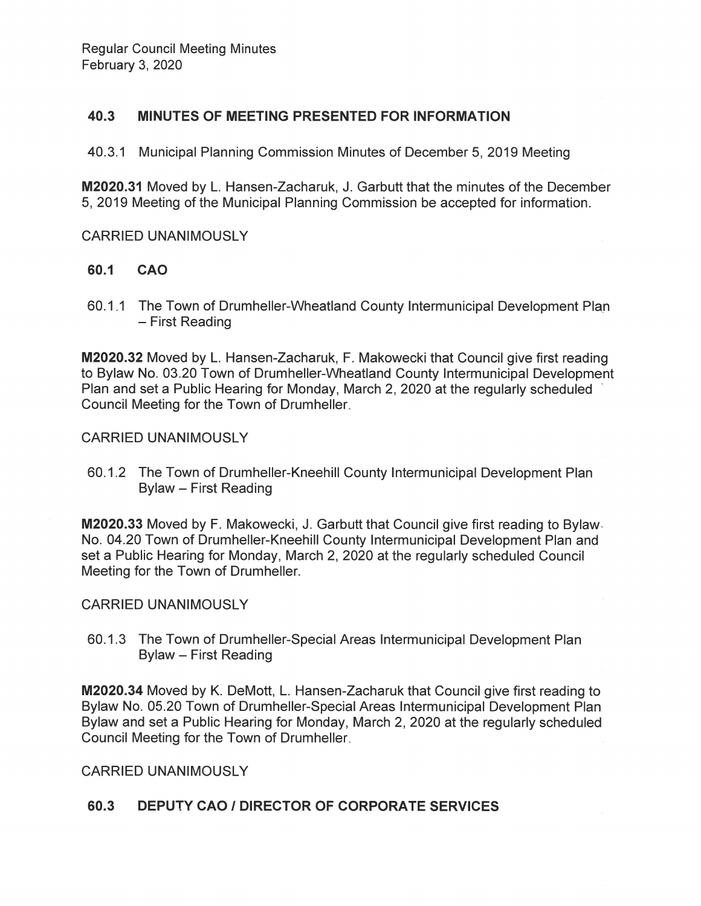#### 40.3 MINUTES OF MEETING PRESENTED FOR INFORMATION

40.3.1 Municipal Planning Commission Minutes of December 5, 2019 Meeting

M2020.31 Moved by L. Hansen-Zacharuk, J. Garbutt that the minutes of the December 5, 2019 Meeting of the Municipal Planning Commission be accepted for information.

## **CARRIED UNANIMOUSLY**

#### 60.1 **CAO**

60.1.1 The Town of Drumheller-Wheatland County Intermunicipal Development Plan - First Reading

M2020.32 Moved by L. Hansen-Zacharuk, F. Makowecki that Council give first reading to Bylaw No. 03.20 Town of Drumheller-Wheatland County Intermunicipal Development Plan and set a Public Hearing for Monday, March 2, 2020 at the regularly scheduled Council Meeting for the Town of Drumheller.

**CARRIED UNANIMOUSLY** 

60.1.2 The Town of Drumheller-Kneehill County Intermunicipal Development Plan Bylaw - First Reading

M2020.33 Moved by F. Makowecki, J. Garbutt that Council give first reading to Bylaw. No. 04.20 Town of Drumheller-Kneehill County Intermunicipal Development Plan and set a Public Hearing for Monday, March 2, 2020 at the regularly scheduled Council Meeting for the Town of Drumheller.

### **CARRIED UNANIMOUSLY**

60.1.3 The Town of Drumheller-Special Areas Intermunicipal Development Plan **Bylaw - First Reading** 

**M2020.34** Moved by K. DeMott, L. Hansen-Zacharuk that Council give first reading to Bylaw No. 05.20 Town of Drumheller-Special Areas Intermunicipal Development Plan Bylaw and set a Public Hearing for Monday, March 2, 2020 at the regularly scheduled Council Meeting for the Town of Drumheller.

**CARRIED UNANIMOUSLY** 

#### 60.3 **DEPUTY CAO / DIRECTOR OF CORPORATE SERVICES**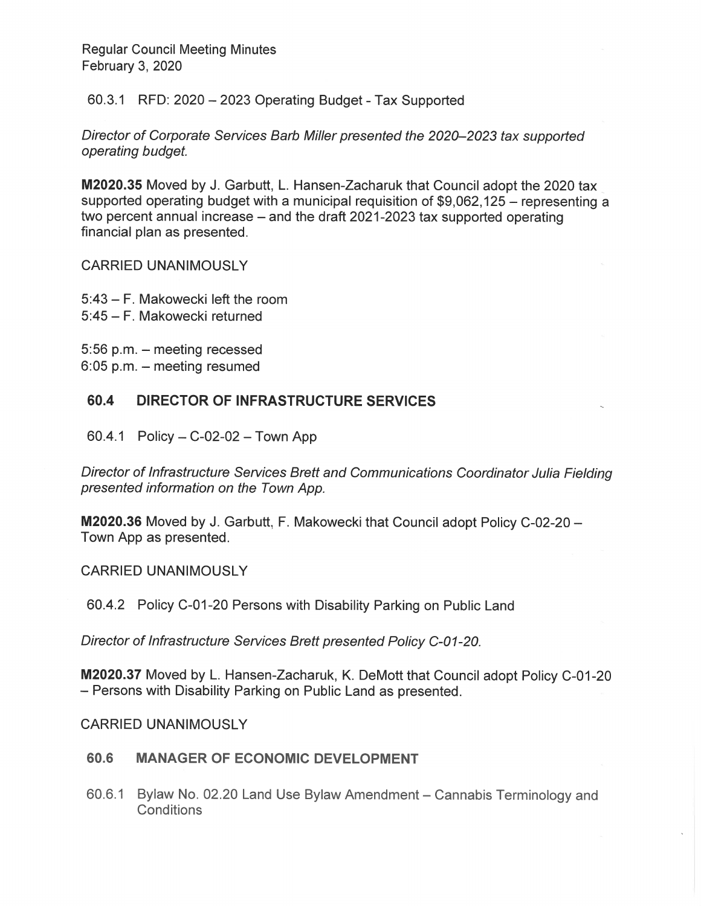**Regular Council Meeting Minutes** February 3, 2020

60.3.1 RFD: 2020 - 2023 Operating Budget - Tax Supported

Director of Corporate Services Barb Miller presented the 2020–2023 tax supported operating budget.

M2020.35 Moved by J. Garbutt, L. Hansen-Zacharuk that Council adopt the 2020 tax supported operating budget with a municipal requisition of \$9,062,125 – representing a two percent annual increase – and the draft 2021-2023 tax supported operating financial plan as presented.

**CARRIED UNANIMOUSLY** 

5:43 - F. Makowecki left the room 5:45 - F. Makowecki returned

5:56 p.m. - meeting recessed  $6:05$  p.m.  $-$  meeting resumed

#### 60.4 **DIRECTOR OF INFRASTRUCTURE SERVICES**

60.4.1 Policy  $- C - 02 - 02 - 7$ own App

Director of Infrastructure Services Brett and Communications Coordinator Julia Fielding presented information on the Town App.

M2020.36 Moved by J. Garbutt, F. Makowecki that Council adopt Policy C-02-20 -Town App as presented.

**CARRIED UNANIMOUSLY** 

60.4.2 Policy C-01-20 Persons with Disability Parking on Public Land

Director of Infrastructure Services Brett presented Policy C-01-20.

M2020.37 Moved by L. Hansen-Zacharuk, K. DeMott that Council adopt Policy C-01-20 - Persons with Disability Parking on Public Land as presented.

**CARRIED UNANIMOUSLY** 

#### 60.6 **MANAGER OF ECONOMIC DEVELOPMENT**

60.6.1 Bylaw No. 02.20 Land Use Bylaw Amendment – Cannabis Terminology and **Conditions**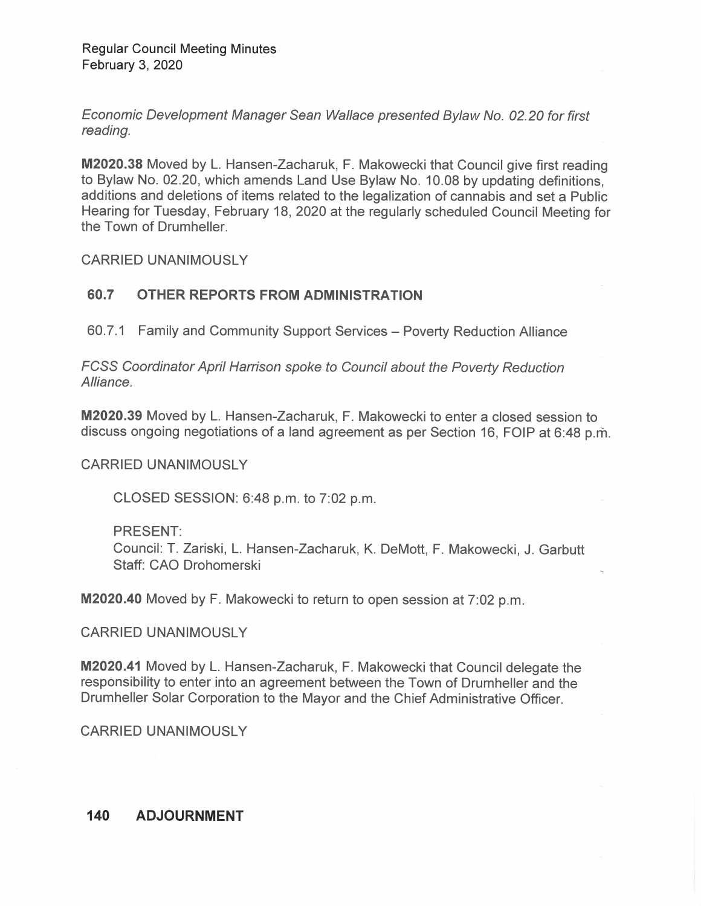Economic Development Manager Sean Wallace presented Bylaw No. 02.20 for first reading.

M2020.38 Moved by L. Hansen-Zacharuk, F. Makowecki that Council give first reading to Bylaw No. 02.20, which amends Land Use Bylaw No. 10.08 by updating definitions, additions and deletions of items related to the legalization of cannabis and set a Public Hearing for Tuesday, February 18,2020 at the regularly scheduled Council Meeting fer the Town of Drumheller.

CARRIED UNANIMOUSLY

## 60.7 OTHER REPORTS FROM ADMINISTRATION

60.7.1 Family and Community Support Services — Poverty Reduction Alliance

FCSS Coordinator April Harrison spoke to Council about the Poverty Reduction Alliance.

M2020.39 Moved by L. Hansen-Zacharuk, F. Makowecki to enter a closed session to discuss ongoing negotiations of a land agreement as per Section 16, FOIP at 6:48 p.m.

CARRIED UNANIMOUSLY

CLOSED SESSION: 6:48 p.m. to 7:02 p.m.

PRESENT: Counci: T. Zariski, L. Hansen-Zacharuk, K. DeMott, F. Makowecki, J. Garbutt Staff: CAO Drohomerski

M2020.40 Moved by F. Makowecki to return to open session at 7:02 p.m.

CARRIED UNANIMOUSLY

M2020.41 Moved by L. Hansen-Zacharuk, F. Makowecki that Council delegate the responsibility to enter into an agreement between the Town of Drumheller and the Drumheller Solar Corporation to the Mayor and the Chief Administrative Officer.

CARRIED UNANIMOUSLY

#### 140**ADJOURNMENT**